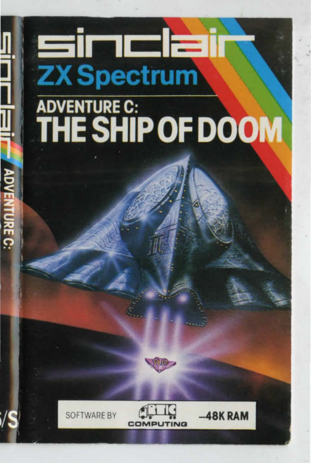## **Sinclai ZX Spectrum** ADVENTURE C: **THE SHIP OF DOOM**







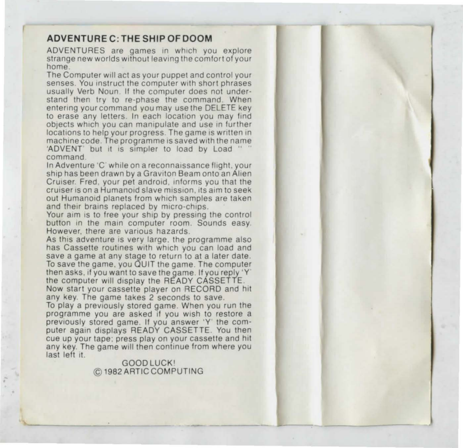## ADVENTURE C: THE SHIP OF DOOM

ADVENTURES are games in which you explore strange new worlds without leaving the comfort of your<br>home.<br>The Computer will act as your puppet and control your

senses. You instruct the computer with short phrases usually Verb Noun. If the computer does not understand then try to re-phase the command. When entering your command you may use the DELETE key to erase any letters. In each location you may find objects which you can manipulate and use in further locations to help your progress. The game is written in machine code. The programme is saved with the name 'ADVENT' but it is simpler to load by Load " " command

In Adventure 'C' while on a reconnaissance flight, your ship has been drawn by a Graviton Beam onto an Alten Cruiser. Fred. your pet android, informs you that the cruiser is on a Humanoid slave mission, its aim to seek out Humanoid planets from which samples are taken and their brains replaced by micro-chips.

Your aim is to free your ship by pressing the control button in the main computer room. Sounds easy. However, there are various hazards.

As this adventure is very large. the programme also has Cassette routines with which you can load and save a game at any stage to return to at a later date. To save the game. you QUIT the game The computer then asks, if you want to save the game. If you reply 'Y' the computer will display the READY CASSETTE Now start your cassette player on RECORD and hit any key. The game takes 2 seconds to save.

To play a previously stored game. When you run the programme you are asked if you wish to restore a previously stored game. If you answer 'Y' the computer again displays READY CASSETTE. You then cue up your tape: press play on your cassette and hit any key. The game will then continue from where you last left it.

GOODLUCKI © 1982ARTICCOMPUTING